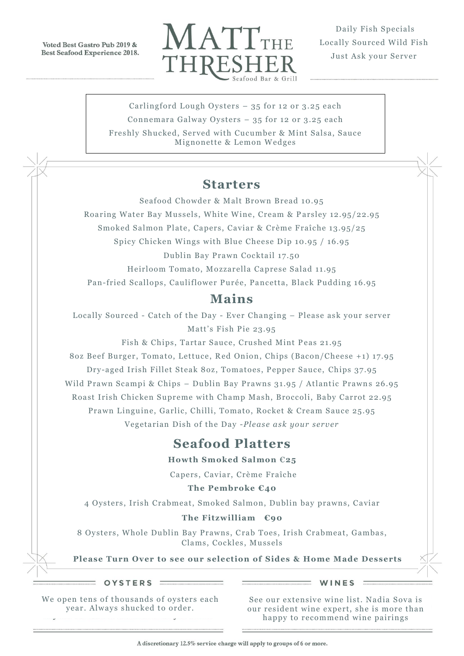Voted Best Gastro Pub 2019 & **Best Seafood Experience 2018.** 



Daily Fish Specials Locally Sourced Wild Fish Just Ask your Server

Carlingford Lough Oysters – 35 for 12 or 3.25 each Connemara Galway Oysters – 35 for 12 or 3.25 each

Freshly Shucked, Served with Cucumber & Mint Salsa, Sauce Mignonette & Lemon Wedges

#### **Starters**

Seafood Chowder & Malt Brown Bread 10.95

Roaring Water Bay Mussels, White Wine, Cream & P arsley 12.95/22.95

Smoked Salmon Plate, Capers, Caviar & Crème Fraîche 13.95/25

Spicy Chicken Wings with Blue Cheese Dip 10.95 / 16.95

Dublin Bay Prawn Cocktail 17.50

Heirloom Tomato, Mozzarella Caprese Salad 11.95

Pan-fried Scallops, Cauliflower Purée, Pancetta, Black Pudding 16.95

### **Mains**

Locally Sourced - Catch of the Day - Ever Changing – Please ask your server Matt's Fish Pie 23.95

Fish & Chips, Tartar Sauce, Crushed Mint Peas 21.95 8oz Beef Burger, Tomato, Lettuce, R ed Onion, Chips (Bacon/Cheese +1) 17.95 Dry-aged Irish Fillet Steak 8oz, Tomatoes, Pepper Sauce, Chips 37.95 Wild Prawn Scampi & Chips - Dublin Bay Prawns 31.95 / Atlantic Prawns 26.95 Roast Irish Chicken Supreme with Champ Mash, Broccoli, Baby Carrot 22.95 Prawn Linguine, Garlic, Chilli, Tomato, Rocket & Cream Sauce 25.95 Vegetarian Dish of the Day -*Please ask your server*

# **Seafood Platters**

**Howth Smoked Salmon** €**25** 

Capers, Caviar, Crème Fraîche

**The Pembroke €40**

4 Oysters, Irish Crabmeat, Smoked Salmon, Dublin bay prawns, Caviar

#### **The Fitzwilliam €90**

8 Oysters, Whole Dublin Bay Prawns, Crab Toes, Irish Crabmeat, Gambas, Clams, Cockles, Mussels

**Please Turn Over to see our selection of Sides & Home Made Desserts**

OYSTERS :

WINES

We open tens of thousands of oysters each year. Always shucked to order .

See our extensive wine list. Nadia Sova is our resident wine expert, she is more than happy to recommend wine pairings